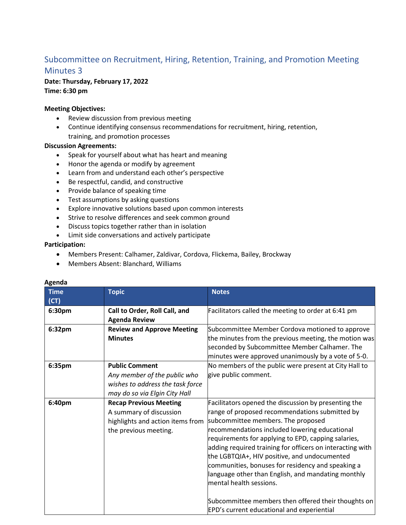# Subcommittee on Recruitment, Hiring, Retention, Training, and Promotion Meeting Minutes 3

## **Date: Thursday, February 17, 2022**

**Time: 6:30 pm**

### **Meeting Objectives:**

- Review discussion from previous meeting
- Continue identifying consensus recommendations for recruitment, hiring, retention, training, and promotion processes

#### **Discussion Agreements:**

- Speak for yourself about what has heart and meaning
- Honor the agenda or modify by agreement
- Learn from and understand each other's perspective
- Be respectful, candid, and constructive
- Provide balance of speaking time
- Test assumptions by asking questions
- Explore innovative solutions based upon common interests
- Strive to resolve differences and seek common ground
- Discuss topics together rather than in isolation
- Limit side conversations and actively participate

#### **Participation:**

- Members Present: Calhamer, Zaldivar, Cordova, Flickema, Bailey, Brockway
- Members Absent: Blanchard, Williams

| <b>Time</b> | <b>Topic</b>                      | <b>Notes</b>                                              |
|-------------|-----------------------------------|-----------------------------------------------------------|
| (CT)        |                                   |                                                           |
| 6:30pm      | Call to Order, Roll Call, and     | Facilitators called the meeting to order at 6:41 pm       |
|             | <b>Agenda Review</b>              |                                                           |
| 6:32pm      | <b>Review and Approve Meeting</b> | Subcommittee Member Cordova motioned to approve           |
|             | <b>Minutes</b>                    | the minutes from the previous meeting, the motion was     |
|             |                                   | seconded by Subcommittee Member Calhamer. The             |
|             |                                   | minutes were approved unanimously by a vote of 5-0.       |
| 6:35pm      | <b>Public Comment</b>             | No members of the public were present at City Hall to     |
|             | Any member of the public who      | give public comment.                                      |
|             | wishes to address the task force  |                                                           |
|             | may do so via Elgin City Hall     |                                                           |
| 6:40pm      | <b>Recap Previous Meeting</b>     | Facilitators opened the discussion by presenting the      |
|             | A summary of discussion           | range of proposed recommendations submitted by            |
|             | highlights and action items from  | subcommittee members. The proposed                        |
|             | the previous meeting.             | recommendations included lowering educational             |
|             |                                   | requirements for applying to EPD, capping salaries,       |
|             |                                   | adding required training for officers on interacting with |
|             |                                   | the LGBTQIA+, HIV positive, and undocumented              |
|             |                                   | communities, bonuses for residency and speaking a         |
|             |                                   | language other than English, and mandating monthly        |
|             |                                   | mental health sessions.                                   |
|             |                                   |                                                           |
|             |                                   | Subcommittee members then offered their thoughts on       |
|             |                                   | EPD's current educational and experiential                |

# **Agenda**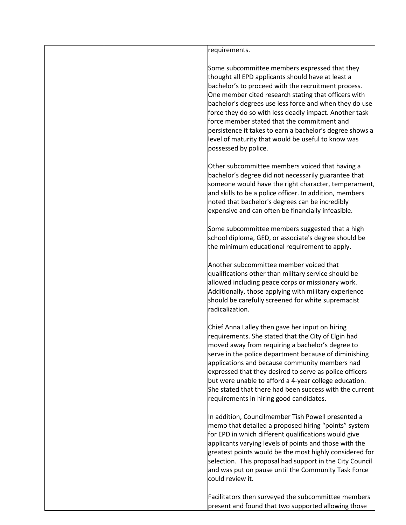| requirements.                                                                                                                                                                                                                                                                                                                                                                                                                                                                                                                  |
|--------------------------------------------------------------------------------------------------------------------------------------------------------------------------------------------------------------------------------------------------------------------------------------------------------------------------------------------------------------------------------------------------------------------------------------------------------------------------------------------------------------------------------|
| Some subcommittee members expressed that they<br>thought all EPD applicants should have at least a<br>bachelor's to proceed with the recruitment process.<br>One member cited research stating that officers with<br>bachelor's degrees use less force and when they do use<br>force they do so with less deadly impact. Another task<br>force member stated that the commitment and<br>persistence it takes to earn a bachelor's degree shows a<br>level of maturity that would be useful to know was<br>possessed by police. |
| Other subcommittee members voiced that having a<br>bachelor's degree did not necessarily guarantee that<br>someone would have the right character, temperament,<br>and skills to be a police officer. In addition, members<br>noted that bachelor's degrees can be incredibly<br>expensive and can often be financially infeasible.                                                                                                                                                                                            |
| Some subcommittee members suggested that a high<br>school diploma, GED, or associate's degree should be<br>the minimum educational requirement to apply.                                                                                                                                                                                                                                                                                                                                                                       |
| Another subcommittee member voiced that<br>qualifications other than military service should be<br>allowed including peace corps or missionary work.<br>Additionally, those applying with military experience<br>should be carefully screened for white supremacist<br>radicalization.                                                                                                                                                                                                                                         |
| Chief Anna Lalley then gave her input on hiring<br>requirements. She stated that the City of Elgin had<br>moved away from requiring a bachelor's degree to<br>serve in the police department because of diminishing<br>applications and because community members had<br>expressed that they desired to serve as police officers<br>but were unable to afford a 4-year college education.<br>She stated that there had been success with the current<br>requirements in hiring good candidates.                                |
| In addition, Councilmember Tish Powell presented a<br>memo that detailed a proposed hiring "points" system<br>for EPD in which different qualifications would give<br>applicants varying levels of points and those with the<br>greatest points would be the most highly considered for<br>selection. This proposal had support in the City Council<br>and was put on pause until the Community Task Force<br>could review it.                                                                                                 |
| Facilitators then surveyed the subcommittee members<br>present and found that two supported allowing those                                                                                                                                                                                                                                                                                                                                                                                                                     |